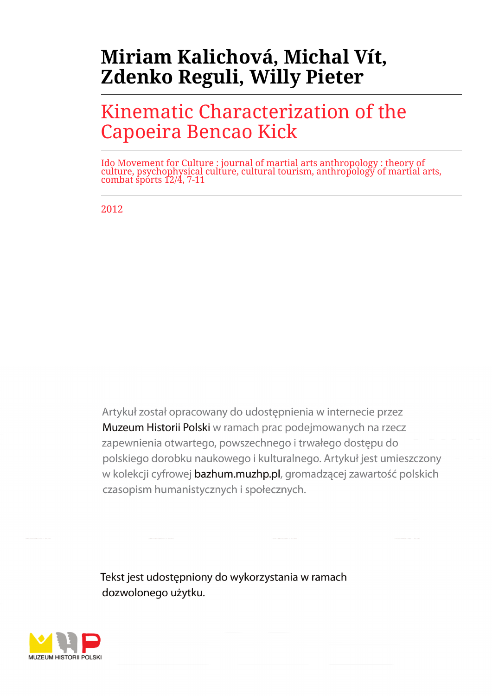# **Miriam Kalichová, Michal Vít, Zdenko Reguli, Willy Pieter**

## Kinematic Characterization of the Capoeira Bencao Kick

Ido Movement for Culture : journal of martial arts anthropology : theory of culture, psychophysical culture, cultural tourism, anthropology of martial arts, combat sports 12/4, 7-11

2012

Artykuł został opracowany do udostepnienia w internecie przez Muzeum Historii Polski w ramach prac podejmowanych na rzecz zapewnienia otwartego, powszechnego i trwałego dostępu do polskiego dorobku naukowego i kulturalnego. Artykuł jest umieszczony w kolekcji cyfrowej bazhum.muzhp.pl, gromadzącej zawartość polskich czasopism humanistycznych i społecznych.

Tekst jest udostępniony do wykorzystania w ramach dozwolonego użytku.

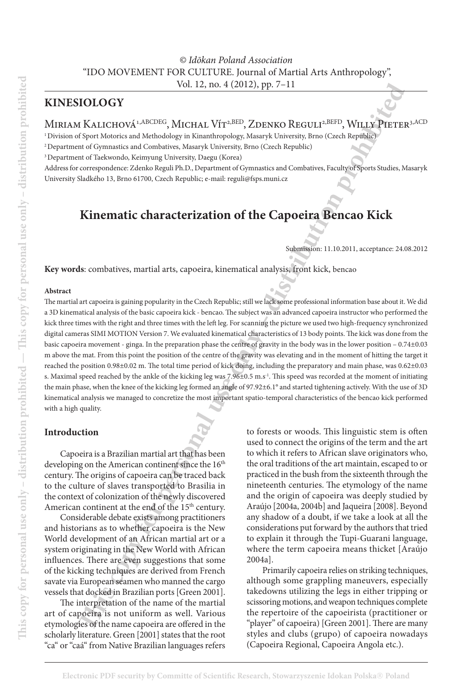### **kinesiology**

### MIRIAM KALICHOVÁ<sup>1,ABCDEG</sup>, MICHAL VÍT<sup>2,BED</sup>, ZDENKO REGULI<sup>2,BEFD</sup>, WILLY PIETER<sup>3,ACD</sup>

<sup>1</sup> Division of Sport Motorics and Methodology in Kinanthropology, Masaryk University, Brno (Czech Republic)

2 Department of Gymnastics and Combatives, Masaryk University, Brno (Czech Republic)

3 Department of Taekwondo, Keimyung University, Daegu (Korea)

Address for correspondence: Zdenko Reguli Ph.D., Department of Gymnastics and Combatives, Faculty of Sports Studies, Masaryk University Sladkého 13, Brno 61700, Czech Republic; e-mail: reguli@fsps.muni.cz

## **Kinematic characterization of the Capoeira Bencao Kick**

Submission: 11.10.2011, acceptance: 24.08.2012

**Key words**: combatives, martial arts, capoeira, kinematical analysis, front kick, bencao

#### **Abstract**

**THE INSTERNATION CONTROLL AND CONTROLL AND CONTROLL AND CONTROLL AND THE SCONE (SURFACE AND AND CAN ACTED AND CAN ACTED AND CAN ACTED AND CAN ACTED AND CONTROLL AND CAN ACTED AND CAN ACTED AND CAN ACTED AND CAN ACTED AND** The martial art capoeira is gaining popularity in the Czech Republic; still we lack some professional information base about it. We did a 3D kinematical analysis of the basic capoeira kick - bencao. The subject was an advanced capoeira instructor who performed the kick three times with the right and three times with the left leg. For scanning the picture we used two high-frequency synchronized digital cameras SIMI MOTION Version 7. We evaluated kinematical characteristics of 13 body points. The kick was done from the basic capoeira movement - ginga. In the preparation phase the centre of gravity in the body was in the lower position – 0.74±0.03 m above the mat. From this point the position of the centre of the gravity was elevating and in the moment of hitting the target it reached the position 0.98±0.02 m. The total time period of kick doing, including the preparatory and main phase, was 0.62±0.03 s. Maximal speed reached by the ankle of the kicking leg was 7.96±0.5 m.s<sup>-1</sup>. This speed was recorded at the moment of initiating the main phase, when the knee of the kicking leg formed an angle of 97.92±6.1° and started tightening actively. With the use of 3D kinematical analysis we managed to concretize the most important spatio-temporal characteristics of the bencao kick performed with a high quality.

#### **Introduction**

Capoeira is a Brazilian martial art that has been developing on the American continent since the 16<sup>th</sup> century. The origins of capoeira can be traced back to the culture of slaves transported to Brasilia in the context of colonization of the newly discovered American continent at the end of the 15<sup>th</sup> century.

Considerable debate exists among practitioners and historians as to whether capoeira is the New World development of an African martial art or a system originating in the New World with African influences. There are even suggestions that some of the kicking techniques are derived from French savate via European seamen who manned the cargo vessels that docked in Brazilian ports [Green 2001].

The interpretation of the name of the martial art of capoeira is not uniform as well. Various etymologies of the name capoeira are offered in the scholarly literature. Green [2001] states that the root "ca" or "caá" from Native Brazilian languages refers

to forests or woods. This linguistic stem is often used to connect the origins of the term and the art to which it refers to African slave originators who, the oral traditions of the art maintain, escaped to or practiced in the bush from the sixteenth through the nineteenth centuries. The etymology of the name and the origin of capoeira was deeply studied by Araújo [2004a, 2004b] and Jaqueira [2008]. Beyond any shadow of a doubt, if we take a look at all the considerations put forward by the authors that tried to explain it through the Tupi-Guarani language, where the term capoeira means thicket [Araújo 2004a].

Primarily capoeira relies on striking techniques, although some grappling maneuvers, especially takedowns utilizing the legs in either tripping or scissoring motions, and weapon techniques complete the repertoire of the capoeirista (practitioner or "player" of capoeira) [Green 2001]. There are many styles and clubs (grupo) of capoeira nowadays (Capoeira Regional, Capoeira Angola etc.).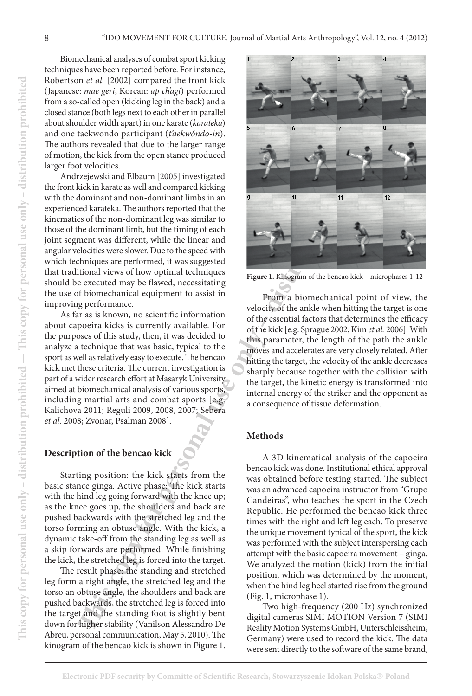Biomechanical analyses of combat sport kicking techniques have been reported before. For instance, Robertson *et al.* [2002] compared the front kick (Japanese: *mae geri*, Korean: *ap ch'agi*) performed from a so-called open (kicking leg in the back) and a closed stance (both legs next to each other in parallel about shoulder width apart) in one karate (*karateka*) and one taekwondo participant (*t'aekwŏndo-in*). The authors revealed that due to the larger range of motion, the kick from the open stance produced larger foot velocities.

Andrzejewski and Elbaum [2005] investigated the front kick in karate as well and compared kicking with the dominant and non-dominant limbs in an experienced karateka. The authors reported that the kinematics of the non-dominant leg was similar to those of the dominant limb, but the timing of each joint segment was different, while the linear and angular velocities were slower. Due to the speed with which techniques are performed, it was suggested that traditional views of how optimal techniques should be executed may be flawed, necessitating the use of biomechanical equipment to assist in improving performance.

As far as is known, no scientific information about capoeira kicks is currently available. For the purposes of this study, then, it was decided to analyze a technique that was basic, typical to the sport as well as relatively easy to execute. The bencao kick met these criteria. The current investigation is part of a wider research effort at Masaryk University aimed at biomechanical analysis of various sports, including martial arts and combat sports [e.g. Kalichova 2011; Reguli 2009, 2008, 2007; Sebera *et al.* 2008; Zvonar, Psalman 2008].

#### **Description of the bencao kick**

Starting position: the kick starts from the basic stance ginga. Active phase: The kick starts with the hind leg going forward with the knee up; as the knee goes up, the shoulders and back are pushed backwards with the stretched leg and the torso forming an obtuse angle. With the kick, a dynamic take-off from the standing leg as well as a skip forwards are performed. While finishing the kick, the stretched leg is forced into the target.

The result phase: the standing and stretched leg form a right angle, the stretched leg and the torso an obtuse angle, the shoulders and back are pushed backwards, the stretched leg is forced into the target and the standing foot is slightly bent down for higher stability (Vanilson Alessandro De Abreu, personal communication, May 5, 2010). The kinogram of the bencao kick is shown in Figure 1.



**Figure 1.** Kinogram of the bencao kick – microphases 1-12

From a biomechanical point of view, the velocity of the ankle when hitting the target is one of the essential factors that determines the efficacy of the kick [e.g. Sprague 2002; Kim *et al.* 2006]. With this parameter, the length of the path the ankle moves and accelerates are very closely related. After hitting the target, the velocity of the ankle decreases sharply because together with the collision with the target, the kinetic energy is transformed into internal energy of the striker and the opponent as a consequence of tissue deformation.

#### **Methods**

A 3D kinematical analysis of the capoeira bencao kick was done. Institutional ethical approval was obtained before testing started. The subject was an advanced capoeira instructor from "Grupo Candeiras", who teaches the sport in the Czech Republic. He performed the bencao kick three times with the right and left leg each. To preserve the unique movement typical of the sport, the kick was performed with the subject interspersing each attempt with the basic capoeira movement – ginga. We analyzed the motion (kick) from the initial position, which was determined by the moment, when the hind leg heel started rise from the ground (Fig. 1, microphase 1).

Two high-frequency (200 Hz) synchronized digital cameras SIMI MOTION Version 7 (SIMI Reality Motion Systems GmbH, Unterschleissheim, Germany) were used to record the kick. The data were sent directly to the software of the same brand,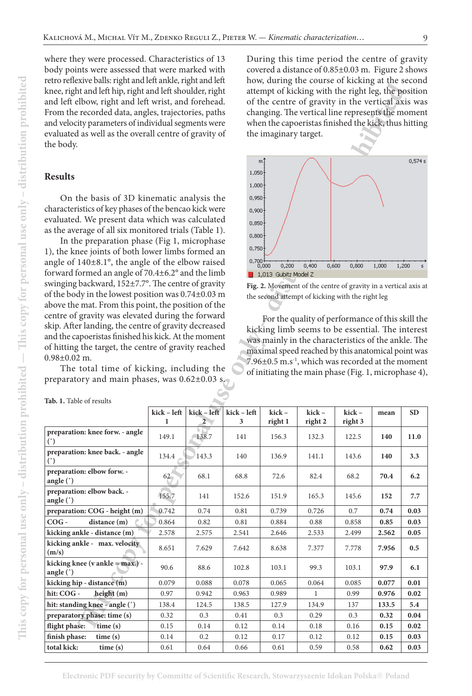where they were processed. Characteristics of 13 body points were assessed that were marked with retro reflexive balls: right and left ankle, right and left knee, right and left hip, right and left shoulder, right and left elbow, right and left wrist, and forehead. From the recorded data, angles, trajectories, paths and velocity parameters of individual segments were evaluated as well as the overall centre of gravity of the body.

#### **Results**

| etro renexíve bans. I igin anu ien anue, i igin anu ien<br>thee, right and left hip, right and left shoulder, right<br>and left elbow, right and left wrist, and forehead.<br>From the recorded data, angles, trajectories, paths<br>ind velocity parameters of individual segments were<br>valuated as well as the overall centre of gravity of<br>he body.               |                  | now, authig the course of Kieking at the secon<br>attempt of kicking with the right leg, the position<br>of the centre of gravity in the vertical axis w<br>changing. The vertical line represents the mome<br>when the capoeristas finished the kick, thus hittin<br>the imaginary target. |                  |                                                                                                      |                                                                                                                                                                                                                                                                                                                                    |                  |       |           |  |
|----------------------------------------------------------------------------------------------------------------------------------------------------------------------------------------------------------------------------------------------------------------------------------------------------------------------------------------------------------------------------|------------------|---------------------------------------------------------------------------------------------------------------------------------------------------------------------------------------------------------------------------------------------------------------------------------------------|------------------|------------------------------------------------------------------------------------------------------|------------------------------------------------------------------------------------------------------------------------------------------------------------------------------------------------------------------------------------------------------------------------------------------------------------------------------------|------------------|-------|-----------|--|
| <b>Results</b>                                                                                                                                                                                                                                                                                                                                                             | 1,050<br>1,000   | m,                                                                                                                                                                                                                                                                                          |                  |                                                                                                      |                                                                                                                                                                                                                                                                                                                                    | 0,574            |       |           |  |
| On the basis of 3D kinematic analysis the<br>haracteristics of key phases of the bencao kick were<br>valuated. We present data which was calculated<br>is the average of all six monitored trials (Table 1).<br>In the preparation phase (Fig 1, microphase<br>), the knee joints of both lower limbs formed an<br>ingle of 140±8.1°, the angle of the elbow raised        |                  |                                                                                                                                                                                                                                                                                             |                  | 0,950<br>0,900<br>0,850<br>0,800<br>0,750                                                            |                                                                                                                                                                                                                                                                                                                                    |                  |       |           |  |
| orward formed an angle of 70.4±6.2° and the limb                                                                                                                                                                                                                                                                                                                           |                  |                                                                                                                                                                                                                                                                                             |                  | ---4 0,700<br>---0,000<br>0,200<br>0,400<br>0,600<br>0,800<br>1,000<br>1,200<br>1,013 Gubitz Model Z |                                                                                                                                                                                                                                                                                                                                    |                  |       |           |  |
| winging backward, 152±7.7°. The centre of gravity<br>of the body in the lowest position was 0.74±0.03 m<br>bove the mat. From this point, the position of the                                                                                                                                                                                                              |                  |                                                                                                                                                                                                                                                                                             |                  |                                                                                                      | Fig. 2. Movement of the centre of gravity in a vertical axis<br>the second attempt of kicking with the right leg                                                                                                                                                                                                                   |                  |       |           |  |
| entre of gravity was elevated during the forward<br>kip. After landing, the centre of gravity decreased<br>and the capoeristas finished his kick. At the moment<br>of hitting the target, the centre of gravity reached<br>$0.98 \pm 0.02$ m.<br>The total time of kicking, including the<br>preparatory and main phases, was $0.62\pm0.03$ s.<br>Tab. 1. Table of results |                  |                                                                                                                                                                                                                                                                                             |                  |                                                                                                      | For the quality of performance of this skill the<br>kicking limb seems to be essential. The intere<br>was mainly in the characteristics of the ankle. The<br>maximal speed reached by this anatomical point w<br>7.96±0.5 m.s <sup>-1</sup> , which was recorded at the mome<br>of initiating the main phase (Fig. 1, microphase 4 |                  |       |           |  |
|                                                                                                                                                                                                                                                                                                                                                                            | kick - left<br>1 | kick - left                                                                                                                                                                                                                                                                                 | kick - left<br>3 | kick-<br>right 1                                                                                     | kick-<br>right 2                                                                                                                                                                                                                                                                                                                   | kick-<br>right 3 | mean  | <b>SD</b> |  |
| preparation: knee forw. - angle<br>(°)                                                                                                                                                                                                                                                                                                                                     | 149.1            | 138.7                                                                                                                                                                                                                                                                                       | 141              | 156.3                                                                                                | 132.3                                                                                                                                                                                                                                                                                                                              | 122.5            | 140   | 11.0      |  |
| preparation: knee back. - angle<br>(°)                                                                                                                                                                                                                                                                                                                                     | 134.4            | 143.3                                                                                                                                                                                                                                                                                       | $140\,$          | 136.9                                                                                                | 141.1                                                                                                                                                                                                                                                                                                                              | 143.6            | 140   | 3.3       |  |
| preparation: elbow forw. -<br>angle (°)                                                                                                                                                                                                                                                                                                                                    | 62 <sup>°</sup>  | 68.1                                                                                                                                                                                                                                                                                        | 68.8             | 72.6                                                                                                 | 82.4                                                                                                                                                                                                                                                                                                                               | 68.2             | 70.4  | 6.2       |  |
| preparation: elbow back. -<br>angle (°)                                                                                                                                                                                                                                                                                                                                    | 155.7            | 141                                                                                                                                                                                                                                                                                         | 152.6            | 151.9                                                                                                | 165.3                                                                                                                                                                                                                                                                                                                              | 145.6            | 152   | 7.7       |  |
| preparation: COG - height (m)                                                                                                                                                                                                                                                                                                                                              | 0.742            | 0.74                                                                                                                                                                                                                                                                                        | 0.81             | 0.739                                                                                                | 0.726                                                                                                                                                                                                                                                                                                                              | 0.7              | 0.74  | 0.03      |  |
| $\rm COG$ -<br>distance (m)                                                                                                                                                                                                                                                                                                                                                | 0.864            | 0.82                                                                                                                                                                                                                                                                                        | 0.81             | 0.884                                                                                                | 0.88                                                                                                                                                                                                                                                                                                                               | 0.858            | 0.85  | 0.03      |  |
| kicking ankle - distance (m)                                                                                                                                                                                                                                                                                                                                               | 2.578            | 2.575                                                                                                                                                                                                                                                                                       | 2.541            | 2.646                                                                                                | 2.533                                                                                                                                                                                                                                                                                                                              | 2.499            | 2.562 | 0.05      |  |
| kicking ankle - max. velocity<br>(m/s)                                                                                                                                                                                                                                                                                                                                     | 8.651            | 7.629                                                                                                                                                                                                                                                                                       | 7.642            | 8.638                                                                                                | 7.377                                                                                                                                                                                                                                                                                                                              | 7.778            | 7.956 | 0.5       |  |
| kicking knee (v ankle = max.) $\prime$ -<br>angle (°)                                                                                                                                                                                                                                                                                                                      | 90.6             | 88.6                                                                                                                                                                                                                                                                                        | 102.8            | 103.1                                                                                                | 99.3                                                                                                                                                                                                                                                                                                                               | 103.1            | 97.9  | 6.1       |  |
| kicking hip - distance (m)                                                                                                                                                                                                                                                                                                                                                 |                  |                                                                                                                                                                                                                                                                                             | 0.078            |                                                                                                      | 0.064                                                                                                                                                                                                                                                                                                                              | 0.085            |       |           |  |
| hit: COG -<br>height (m)                                                                                                                                                                                                                                                                                                                                                   | 0.079            | 0.088                                                                                                                                                                                                                                                                                       |                  | 0.065                                                                                                |                                                                                                                                                                                                                                                                                                                                    |                  | 0.077 | 0.01      |  |
|                                                                                                                                                                                                                                                                                                                                                                            | 0.97             | 0.942                                                                                                                                                                                                                                                                                       | 0.963            | 0.989                                                                                                | 1                                                                                                                                                                                                                                                                                                                                  | 0.99             | 0.976 | 0.02      |  |
| hit: standing knee - angle (°)                                                                                                                                                                                                                                                                                                                                             | 138.4            | 124.5                                                                                                                                                                                                                                                                                       | 138.5            | 127.9                                                                                                | 134.9                                                                                                                                                                                                                                                                                                                              | 137              | 133.5 | 5.4       |  |
| preparatory phase: time (s)                                                                                                                                                                                                                                                                                                                                                | 0.32             | 0.3                                                                                                                                                                                                                                                                                         | 0.41             | 0.3                                                                                                  | 0.29                                                                                                                                                                                                                                                                                                                               | 0.3              | 0.32  | 0.04      |  |
| flight phase:<br>time $(s)$                                                                                                                                                                                                                                                                                                                                                | 0.15             | 0.14                                                                                                                                                                                                                                                                                        | 0.12             | 0.14                                                                                                 | 0.18                                                                                                                                                                                                                                                                                                                               | 0.16             | 0.15  | 0.02      |  |

**Tab. 1.** Table of results

During this time period the centre of gravity covered a distance of 0.85±0.03 m. Figure 2 shows how, during the course of kicking at the second attempt of kicking with the right leg, the position of the centre of gravity in the vertical axis was changing. The vertical line represents the moment when the capoeristas finished the kick, thus hitting the imaginary target.



**Fig. 2.** Movement of the centre of gravity in a vertical axis at the second attempt of kicking with the right leg

**flight phase: time (s)** 0.15 0.14 0.12 0.14 0.18 0.16 **0.15 0.02 finish phase: time (s)** 0.14 0.2 0.12 0.17 0.12 0.12 **0.15 0.03 total kick: time (s)** 0.61 0.64 0.66 0.61 0.59 0.58 **0.62 0.03**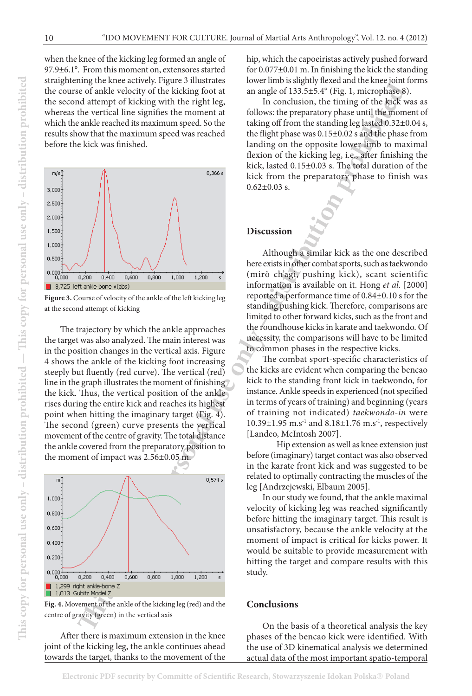when the knee of the kicking leg formed an angle of 97.9±6.1°. From this moment on, extensores started straightening the knee actively. Figure 3 illustrates the course of ankle velocity of the kicking foot at the second attempt of kicking with the right leg, whereas the vertical line signifies the moment at which the ankle reached its maximum speed. So the results show that the maximum speed was reached before the kick was finished.



**Figure 3.** Course of velocity of the ankle of the left kicking leg at the second attempt of kicking

The trajectory by which the ankle approaches the target was also analyzed. The main interest was in the position changes in the vertical axis. Figure 4 shows the ankle of the kicking foot increasing steeply but fluently (red curve). The vertical (red) line in the graph illustrates the moment of finishing the kick. Thus, the vertical position of the ankle rises during the entire kick and reaches its highest point when hitting the imaginary target (Fig. 4). The second (green) curve presents the vertical movement of the centre of gravity. The total distance the ankle covered from the preparatory position to the moment of impact was 2.56±0.05 m.



**Fig. 4.** Movement of the ankle of the kicking leg (red) and the centre of gravity (green) in the vertical axis

After there is maximum extension in the knee joint of the kicking leg, the ankle continues ahead towards the target, thanks to the movement of the

hip, which the capoeiristas actively pushed forward for 0.077±0.01 m. In finishing the kick the standing lower limb is slightly flexed and the knee joint forms an angle of 133.5±5.4° (Fig. 1, microphase 8).

In conclusion, the timing of the kick was as follows: the preparatory phase until the moment of taking off from the standing leg lasted 0.32±0.04 s, the flight phase was 0.15±0.02 s and the phase from landing on the opposite lower limb to maximal flexion of the kicking leg, i.e., after finishing the kick, lasted 0.15±0.03 s. The total duration of the kick from the preparatory phase to finish was  $0.62 \pm 0.03$  s.

#### **Discussion**

Although a similar kick as the one described here exists in other combat sports, such as taekwondo (mirŏ ch'agi, pushing kick), scant scientific information is available on it. Hong *et al.* [2000] reported a performance time of 0.84±0.10 s for the standing pushing kick. Therefore, comparisons are limited to other forward kicks, such as the front and the roundhouse kicks in karate and taekwondo. Of necessity, the comparisons will have to be limited to common phases in the respective kicks.

The combat sport-specific characteristics of the kicks are evident when comparing the bencao kick to the standing front kick in taekwondo, for instance. Ankle speeds in experienced (not specified in terms of years of training) and beginning (years of training not indicated) *taekwondo-in* were 10.39±1.95 m.s<sup>-1</sup> and 8.18±1.76 m.s<sup>-1</sup>, respectively [Landeo, McIntosh 2007].

Hip extension as well as knee extension just before (imaginary) target contact was also observed in the karate front kick and was suggested to be related to optimally contracting the muscles of the leg [Andrzejewski, Elbaum 2005].

In our study we found, that the ankle maximal velocity of kicking leg was reached significantly before hitting the imaginary target. This result is unsatisfactory, because the ankle velocity at the moment of impact is critical for kicks power. It would be suitable to provide measurement with hitting the target and compare results with this study.

#### **Conclusions**

On the basis of a theoretical analysis the key phases of the bencao kick were identified. With the use of 3D kinematical analysis we determined actual data of the most important spatio-temporal